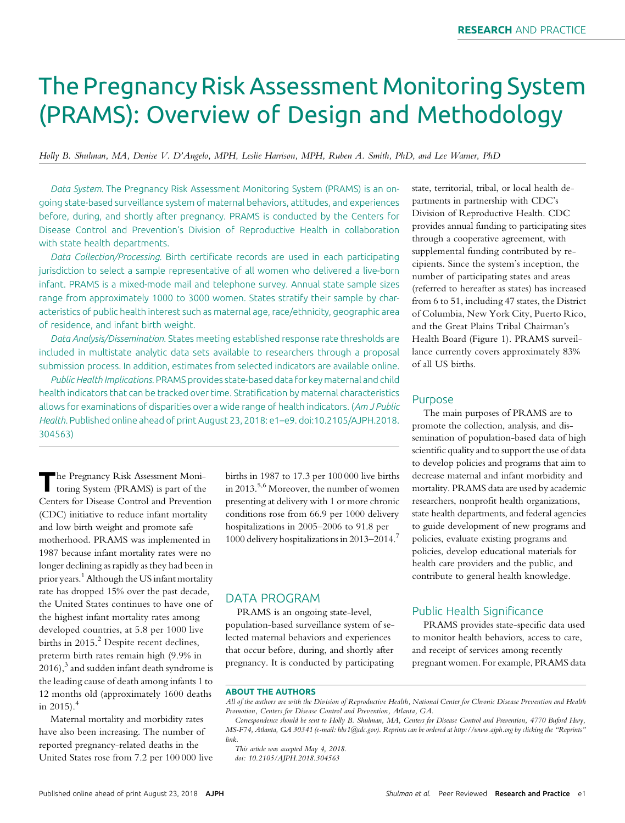# The Pregnancy Risk Assessment Monitoring System (PRAMS): Overview of Design and Methodology

#### Holly B. Shulman, MA, Denise V. D'Angelo, MPH, Leslie Harrison, MPH, Ruben A. Smith, PhD, and Lee Warner, PhD

Data System. The Pregnancy Risk Assessment Monitoring System (PRAMS) is an ongoing state-based surveillance system of maternal behaviors, attitudes, and experiences before, during, and shortly after pregnancy. PRAMS is conducted by the Centers for Disease Control and Prevention's Division of Reproductive Health in collaboration with state health departments.

Data Collection/Processing. Birth certificate records are used in each participating jurisdiction to select a sample representative of all women who delivered a live-born infant. PRAMS is a mixed-mode mail and telephone survey. Annual state sample sizes range from approximately 1000 to 3000 women. States stratify their sample by characteristics of public health interest such as maternal age, race/ethnicity, geographic area of residence, and infant birth weight.

Data Analysis/Dissemination. States meeting established response rate thresholds are included in multistate analytic data sets available to researchers through a proposal submission process. In addition, estimates from selected indicators are available online.

Public Health Implications. PRAMS provides state-based data for key maternal and child health indicators that can be tracked over time. Stratification by maternal characteristics allows for examinations of disparities over <sup>a</sup> wide range of health indicators. (Am J Public Health. Published online ahead of print August 23, 2018: e1–e9. doi:10.2105/AJPH.2018. 304563)

The Pregnancy Risk Assessment Monitoring System (PRAMS) is part of the Centers for Disease Control and Prevention (CDC) initiative to reduce infant mortality and low birth weight and promote safe motherhood. PRAMS was implemented in 1987 because infant mortality rates were no longer declining as rapidly as they had been in prior years.<sup>1</sup> Although the US infant mortality rate has dropped 15% over the past decade, the United States continues to have one of the highest infant mortality rates among developed countries, at 5.8 per 1000 live births in  $2015.<sup>2</sup>$  Despite recent declines, preterm birth rates remain high (9.9% in  $2016$ ,<sup>3</sup> and sudden infant death syndrome is the leading cause of death among infants 1 to 12 months old (approximately 1600 deaths in 2015).<sup>4</sup>

Maternal mortality and morbidity rates have also been increasing. The number of reported pregnancy-related deaths in the United States rose from 7.2 per 100 000 live births in 1987 to 17.3 per 100 000 live births in 2013.5,6 Moreover, the number of women presenting at delivery with 1 or more chronic conditions rose from 66.9 per 1000 delivery hospitalizations in 2005–2006 to 91.8 per 1000 delivery hospitalizations in 2013–2014.7

# DATA PROGRAM

PRAMS is an ongoing state-level, population-based surveillance system of selected maternal behaviors and experiences that occur before, during, and shortly after pregnancy. It is conducted by participating

state, territorial, tribal, or local health departments in partnership with CDC's Division of Reproductive Health. CDC provides annual funding to participating sites through a cooperative agreement, with supplemental funding contributed by recipients. Since the system's inception, the number of participating states and areas (referred to hereafter as states) has increased from 6 to 51, including 47 states, the District of Columbia, New York City, Puerto Rico, and the Great Plains Tribal Chairman's Health Board (Figure 1). PRAMS surveillance currently covers approximately 83% of all US births.

## Purpose

The main purposes of PRAMS are to promote the collection, analysis, and dissemination of population-based data of high scientific quality and to support the use of data to develop policies and programs that aim to decrease maternal and infant morbidity and mortality. PRAMS data are used by academic researchers, nonprofit health organizations, state health departments, and federal agencies to guide development of new programs and policies, evaluate existing programs and policies, develop educational materials for health care providers and the public, and contribute to general health knowledge.

# Public Health Significance

PRAMS provides state-specific data used to monitor health behaviors, access to care, and receipt of services among recently pregnant women. For example, PRAMS data

#### ABOUT THE AUTHORS

All of the authors are with the Division of Reproductive Health, National Center for Chronic Disease Prevention and Health Promotion, Centers for Disease Control and Prevention, Atlanta, GA.

Correspondence should be sent to Holly B. Shulman, MA, Centers for Disease Control and Prevention, 4770 Buford Hwy, MS-F74, Atlanta, GA 30341 (e-mail: [hbs1@cdc.gov](mailto:hbs1@cdc.gov)). Reprints can be ordered at <http://www.ajph.org> by clicking the "Reprints" link.

This article was accepted May 4, 2018.

doi: 10.2105/AJPH.2018.304563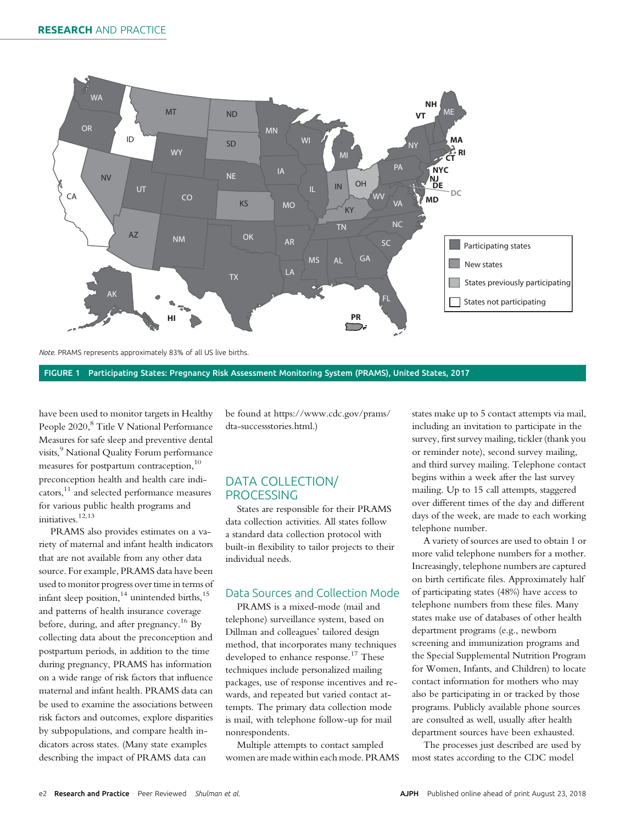

**FIGURE 1** Participating States: Pregnancy Risk Assessment Monitoring System (PRAMS), United States, 2017

have been used to monitor targets in Healthy People 2020,<sup>8</sup> Title V National Performance Measures for safe sleep and preventive dental visits,<sup>9</sup> National Quality Forum performance measures for postpartum contraception, $10$ preconception health and health care indicators,<sup>11</sup> and selected performance measures for various public health programs and initiatives.12,13

PRAMS also provides estimates on a variety of maternal and infant health indicators that are not available from any other data source. For example, PRAMS data have been used to monitor progress over time in terms of infant sleep position,  $14$  unintended births,  $15$ and patterns of health insurance coverage before, during, and after pregnancy.16 By collecting data about the preconception and postpartum periods, in addition to the time during pregnancy, PRAMS has information on a wide range of risk factors that influence maternal and infant health. PRAMS data can be used to examine the associations between risk factors and outcomes, explore disparities by subpopulations, and compare health indicators across states. (Many state examples describing the impact of PRAMS data can

be found at [https://www.cdc.gov/prams/](https://www.cdc.gov/prams/dta-successstories.html) [dta-successstories.html.](https://www.cdc.gov/prams/dta-successstories.html))

# DATA COLLECTION/ **PROCESSING**

States are responsible for their PRAMS data collection activities. All states follow a standard data collection protocol with built-in flexibility to tailor projects to their individual needs.

# Data Sources and Collection Mode

PRAMS is a mixed-mode (mail and telephone) surveillance system, based on Dillman and colleagues' tailored design method, that incorporates many techniques developed to enhance response.<sup>17</sup> These techniques include personalized mailing packages, use of response incentives and rewards, and repeated but varied contact attempts. The primary data collection mode is mail, with telephone follow-up for mail nonrespondents.

Multiple attempts to contact sampled women are made within each mode. PRAMS

states make up to 5 contact attempts via mail, including an invitation to participate in the survey, first survey mailing, tickler (thank you or reminder note), second survey mailing, and third survey mailing. Telephone contact begins within a week after the last survey mailing. Up to 15 call attempts, staggered over different times of the day and different days of the week, are made to each working telephone number.

A variety of sources are used to obtain 1 or more valid telephone numbers for a mother. Increasingly, telephone numbers are captured on birth certificate files. Approximately half of participating states (48%) have access to telephone numbers from these files. Many states make use of databases of other health department programs (e.g., newborn screening and immunization programs and the Special Supplemental Nutrition Program for Women, Infants, and Children) to locate contact information for mothers who may also be participating in or tracked by those programs. Publicly available phone sources are consulted as well, usually after health department sources have been exhausted.

The processes just described are used by most states according to the CDC model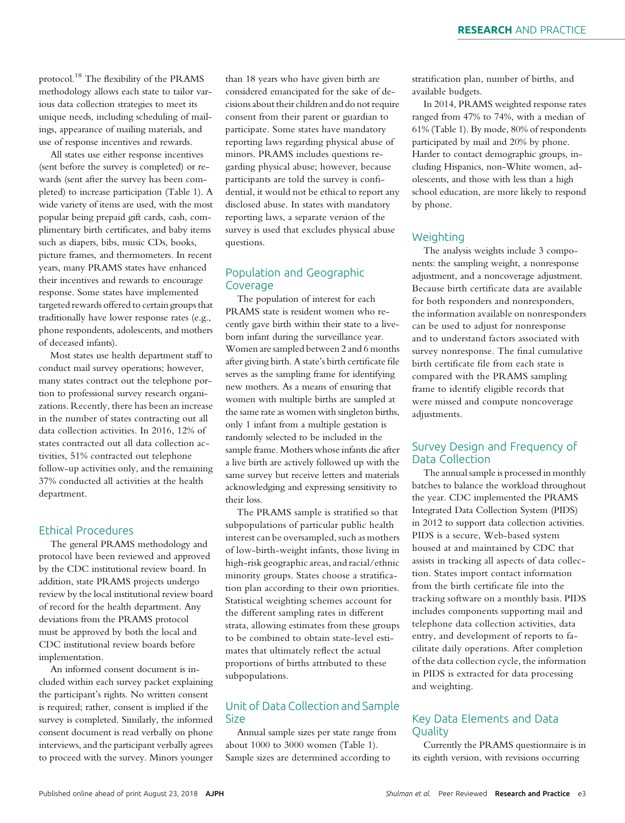protocol.<sup>18</sup> The flexibility of the PRAMS methodology allows each state to tailor various data collection strategies to meet its unique needs, including scheduling of mailings, appearance of mailing materials, and use of response incentives and rewards.

All states use either response incentives (sent before the survey is completed) or rewards (sent after the survey has been completed) to increase participation (Table 1). A wide variety of items are used, with the most popular being prepaid gift cards, cash, complimentary birth certificates, and baby items such as diapers, bibs, music CDs, books, picture frames, and thermometers. In recent years, many PRAMS states have enhanced their incentives and rewards to encourage response. Some states have implemented targeted rewards offered to certain groups that traditionally have lower response rates (e.g., phone respondents, adolescents, and mothers of deceased infants).

Most states use health department staff to conduct mail survey operations; however, many states contract out the telephone portion to professional survey research organizations. Recently, there has been an increase in the number of states contracting out all data collection activities. In 2016, 12% of states contracted out all data collection activities, 51% contracted out telephone follow-up activities only, and the remaining 37% conducted all activities at the health department.

## Ethical Procedures

The general PRAMS methodology and protocol have been reviewed and approved by the CDC institutional review board. In addition, state PRAMS projects undergo review by the local institutional review board of record for the health department. Any deviations from the PRAMS protocol must be approved by both the local and CDC institutional review boards before implementation.

An informed consent document is included within each survey packet explaining the participant's rights. No written consent is required; rather, consent is implied if the survey is completed. Similarly, the informed consent document is read verbally on phone interviews, and the participant verbally agrees to proceed with the survey. Minors younger

than 18 years who have given birth are considered emancipated for the sake of decisionsabout their children and do not require consent from their parent or guardian to participate. Some states have mandatory reporting laws regarding physical abuse of minors. PRAMS includes questions regarding physical abuse; however, because participants are told the survey is confidential, it would not be ethical to report any disclosed abuse. In states with mandatory reporting laws, a separate version of the survey is used that excludes physical abuse questions.

# Population and Geographic Coverage

The population of interest for each PRAMS state is resident women who recently gave birth within their state to a liveborn infant during the surveillance year. Women are sampled between 2 and 6 months after giving birth. A state's birth certificate file serves as the sampling frame for identifying new mothers. As a means of ensuring that women with multiple births are sampled at the same rate as women with singleton births, only 1 infant from a multiple gestation is randomly selected to be included in the sample frame. Mothers whose infants die after a live birth are actively followed up with the same survey but receive letters and materials acknowledging and expressing sensitivity to their loss.

The PRAMS sample is stratified so that subpopulations of particular public health interest can be oversampled, such as mothers of low-birth-weight infants, those living in high-risk geographic areas,and racial/ethnic minority groups. States choose a stratification plan according to their own priorities. Statistical weighting schemes account for the different sampling rates in different strata, allowing estimates from these groups to be combined to obtain state-level estimates that ultimately reflect the actual proportions of births attributed to these subpopulations.

## Unit of Data Collection and Sample Size

Annual sample sizes per state range from about 1000 to 3000 women (Table 1). Sample sizes are determined according to

stratification plan, number of births, and available budgets.

In 2014, PRAMS weighted response rates ranged from 47% to 74%, with a median of 61% (Table 1). By mode, 80% of respondents participated by mail and 20% by phone. Harder to contact demographic groups, including Hispanics, non-White women, adolescents, and those with less than a high school education, are more likely to respond by phone.

## **Weighting**

The analysis weights include 3 components: the sampling weight, a nonresponse adjustment, and a noncoverage adjustment. Because birth certificate data are available for both responders and nonresponders, the information available on nonresponders can be used to adjust for nonresponse and to understand factors associated with survey nonresponse. The final cumulative birth certificate file from each state is compared with the PRAMS sampling frame to identify eligible records that were missed and compute noncoverage adjustments.

# Survey Design and Frequency of Data Collection

The annual sample is processed in monthly batches to balance the workload throughout the year. CDC implemented the PRAMS Integrated Data Collection System (PIDS) in 2012 to support data collection activities. PIDS is a secure, Web-based system housed at and maintained by CDC that assists in tracking all aspects of data collection. States import contact information from the birth certificate file into the tracking software on a monthly basis. PIDS includes components supporting mail and telephone data collection activities, data entry, and development of reports to facilitate daily operations. After completion of the data collection cycle, the information in PIDS is extracted for data processing and weighting.

# Key Data Elements and Data **Ouality**

Currently the PRAMS questionnaire is in its eighth version, with revisions occurring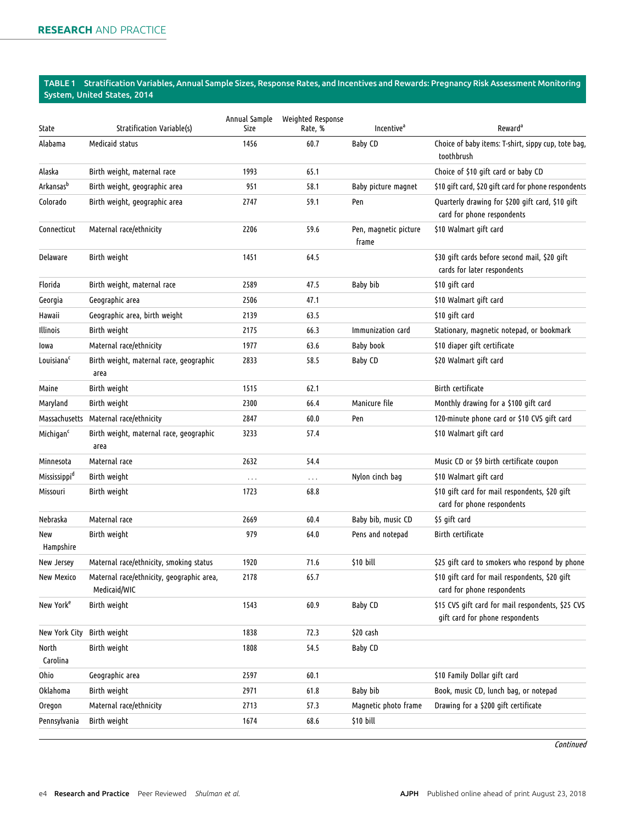#### — TABLE 1 Stratification Variables, Annual Sample Sizes, Response Rates, and Incentives and Rewards: Pregnancy Risk Assessment Monitoring System, United States, 2014

| State                    | Stratification Variable(s)                                | Annual Sample<br>Size | Weighted Response<br>Rate, % | Incentive <sup>a</sup>         | Reward <sup>a</sup>                                                                  |
|--------------------------|-----------------------------------------------------------|-----------------------|------------------------------|--------------------------------|--------------------------------------------------------------------------------------|
| Alabama                  | Medicaid status                                           | 1456                  | 60.7                         | <b>Baby CD</b>                 | Choice of baby items: T-shirt, sippy cup, tote bag,<br>toothbrush                    |
| Alaska                   | Birth weight, maternal race                               | 1993                  | 65.1                         |                                | Choice of \$10 gift card or baby CD                                                  |
| Arkansas <sup>b</sup>    | Birth weight, geographic area                             | 951                   | 58.1                         | Baby picture magnet            | \$10 gift card, \$20 gift card for phone respondents                                 |
| Colorado                 | Birth weight, geographic area                             | 2747                  | 59.1                         | Pen                            | Quarterly drawing for \$200 gift card, \$10 gift<br>card for phone respondents       |
| Connecticut              | Maternal race/ethnicity                                   | 2206                  | 59.6                         | Pen, magnetic picture<br>frame | \$10 Walmart gift card                                                               |
| Delaware                 | Birth weight                                              | 1451                  | 64.5                         |                                | \$30 gift cards before second mail, \$20 gift<br>cards for later respondents         |
| Florida                  | Birth weight, maternal race                               | 2589                  | 47.5                         | Baby bib                       | \$10 gift card                                                                       |
| Georgia                  | Geographic area                                           | 2506                  | 47.1                         |                                | \$10 Walmart gift card                                                               |
| Hawaii                   | Geographic area, birth weight                             | 2139                  | 63.5                         |                                | \$10 gift card                                                                       |
| Illinois                 | Birth weight                                              | 2175                  | 66.3                         | Immunization card              | Stationary, magnetic notepad, or bookmark                                            |
| lowa                     | Maternal race/ethnicity                                   | 1977                  | 63.6                         | <b>Baby book</b>               | \$10 diaper gift certificate                                                         |
| Louisiana <sup>c</sup>   | Birth weight, maternal race, geographic<br>area           | 2833                  | 58.5                         | Baby CD                        | \$20 Walmart gift card                                                               |
| Maine                    | Birth weight                                              | 1515                  | 62.1                         |                                | Birth certificate                                                                    |
| Maryland                 | Birth weight                                              | 2300                  | 66.4                         | Manicure file                  | Monthly drawing for a \$100 gift card                                                |
|                          | Massachusetts Maternal race/ethnicity                     | 2847                  | 60.0                         | Pen                            | 120-minute phone card or \$10 CVS gift card                                          |
| Michigan <sup>c</sup>    | Birth weight, maternal race, geographic<br>area           | 3233                  | 57.4                         |                                | \$10 Walmart gift card                                                               |
| Minnesota                | Maternal race                                             | 2632                  | 54.4                         |                                | Music CD or \$9 birth certificate coupon                                             |
| Mississippi <sup>d</sup> | Birth weight                                              | .                     | .                            | Nylon cinch bag                | \$10 Walmart gift card                                                               |
| Missouri                 | Birth weight                                              | 1723                  | 68.8                         |                                | \$10 gift card for mail respondents, \$20 gift<br>card for phone respondents         |
| Nebraska                 | Maternal race                                             | 2669                  | 60.4                         | Baby bib, music CD             | \$5 gift card                                                                        |
| New<br>Hampshire         | Birth weight                                              | 979                   | 64.0                         | Pens and notepad               | Birth certificate                                                                    |
| New Jersey               | Maternal race/ethnicity, smoking status                   | 1920                  | 71.6                         | \$10 bill                      | \$25 gift card to smokers who respond by phone                                       |
| New Mexico               | Maternal race/ethnicity, geographic area,<br>Medicaid/WIC | 2178                  | 65.7                         |                                | \$10 gift card for mail respondents, \$20 gift<br>card for phone respondents         |
| New York <sup>e</sup>    | Birth weight                                              | 1543                  | 60.9                         | <b>Baby CD</b>                 | \$15 CVS gift card for mail respondents, \$25 CVS<br>gift card for phone respondents |
| New York City            | Birth weight                                              | 1838                  | 72.3                         | \$20 cash                      |                                                                                      |
| North<br>Carolina        | Birth weight                                              | 1808                  | 54.5                         | Baby CD                        |                                                                                      |
| Ohio                     | Geographic area                                           | 2597                  | 60.1                         |                                | \$10 Family Dollar gift card                                                         |
| Oklahoma                 | Birth weight                                              | 2971                  | 61.8                         | Baby bib                       | Book, music CD, lunch bag, or notepad                                                |
| Oregon                   | Maternal race/ethnicity                                   | 2713                  | 57.3                         | Magnetic photo frame           | Drawing for a \$200 gift certificate                                                 |
| Pennsylvania             | Birth weight                                              | 1674                  | 68.6                         | \$10 bill                      |                                                                                      |

**Continued**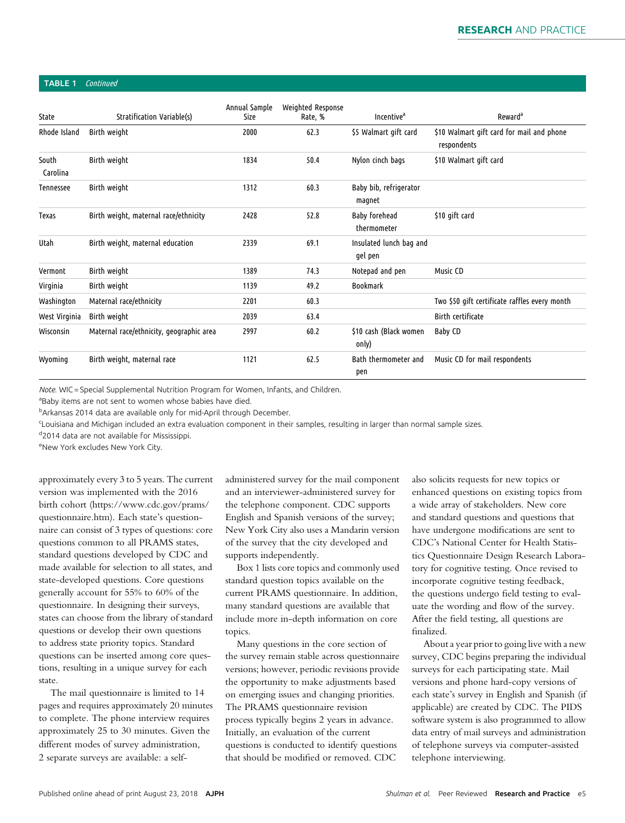TABLE 1 Continued

| State             | Stratification Variable(s)               | Annual Sample<br>Size | Weighted Response<br>Rate, % | Incentive <sup>a</sup>             | Reward <sup>a</sup>                                      |
|-------------------|------------------------------------------|-----------------------|------------------------------|------------------------------------|----------------------------------------------------------|
| Rhode Island      | Birth weight                             | 2000                  | 62.3                         | \$5 Walmart gift card              | \$10 Walmart gift card for mail and phone<br>respondents |
| South<br>Carolina | Birth weight                             | 1834                  | 50.4                         | Nylon cinch bags                   | \$10 Walmart gift card                                   |
| Tennessee         | Birth weight                             | 1312                  | 60.3                         | Baby bib, refrigerator<br>magnet   |                                                          |
| Texas             | Birth weight, maternal race/ethnicity    | 2428                  | 52.8                         | Baby forehead<br>thermometer       | \$10 gift card                                           |
| Utah              | Birth weight, maternal education         | 2339                  | 69.1                         | Insulated lunch bag and<br>gel pen |                                                          |
| Vermont           | Birth weight                             | 1389                  | 74.3                         | Notepad and pen                    | Music CD                                                 |
| Virginia          | Birth weight                             | 1139                  | 49.2                         | <b>Bookmark</b>                    |                                                          |
| Washington        | Maternal race/ethnicity                  | 2201                  | 60.3                         |                                    | Two \$50 gift certificate raffles every month            |
| West Virginia     | Birth weight                             | 2039                  | 63.4                         |                                    | Birth certificate                                        |
| Wisconsin         | Maternal race/ethnicity, geographic area | 2997                  | 60.2                         | \$10 cash (Black women<br>only)    | Baby CD                                                  |
| Wyoming           | Birth weight, maternal race              | 1121                  | 62.5                         | Bath thermometer and<br>pen        | Music CD for mail respondents                            |

Note. WIC <sup>=</sup> Special Supplemental Nutrition Program for Women, Infants, and Children.

<sup>a</sup>Baby items are not sent to women whose babies have died.

<sup>b</sup>Arkansas 2014 data are available only for mid-April through December.

c Louisiana and Michigan included an extra evaluation component in their samples, resulting in larger than normal sample sizes.

<sup>d</sup>2014 data are not available for Mississippi.

eNew York excludes New York City.

approximately every 3 to 5 years. The current version was implemented with the 2016 birth cohort ([https://www.cdc.gov/prams/](https://www.cdc.gov/prams/questionnaire.htm) [questionnaire.htm](https://www.cdc.gov/prams/questionnaire.htm)). Each state's questionnaire can consist of 3 types of questions: core questions common to all PRAMS states, standard questions developed by CDC and made available for selection to all states, and state-developed questions. Core questions generally account for 55% to 60% of the questionnaire. In designing their surveys, states can choose from the library of standard questions or develop their own questions to address state priority topics. Standard questions can be inserted among core questions, resulting in a unique survey for each state.

The mail questionnaire is limited to 14 pages and requires approximately 20 minutes to complete. The phone interview requires approximately 25 to 30 minutes. Given the different modes of survey administration, 2 separate surveys are available: a selfadministered survey for the mail component and an interviewer-administered survey for the telephone component. CDC supports English and Spanish versions of the survey; New York City also uses a Mandarin version of the survey that the city developed and supports independently.

Box 1 lists core topics and commonly used standard question topics available on the current PRAMS questionnaire. In addition, many standard questions are available that include more in-depth information on core topics.

Many questions in the core section of the survey remain stable across questionnaire versions; however, periodic revisions provide the opportunity to make adjustments based on emerging issues and changing priorities. The PRAMS questionnaire revision process typically begins 2 years in advance. Initially, an evaluation of the current questions is conducted to identify questions that should be modified or removed. CDC

also solicits requests for new topics or enhanced questions on existing topics from a wide array of stakeholders. New core and standard questions and questions that have undergone modifications are sent to CDC's National Center for Health Statistics Questionnaire Design Research Laboratory for cognitive testing. Once revised to incorporate cognitive testing feedback, the questions undergo field testing to evaluate the wording and flow of the survey. After the field testing, all questions are finalized.

Abouta year prior to going live with a new survey, CDC begins preparing the individual surveys for each participating state. Mail versions and phone hard-copy versions of each state's survey in English and Spanish (if applicable) are created by CDC. The PIDS software system is also programmed to allow data entry of mail surveys and administration of telephone surveys via computer-assisted telephone interviewing.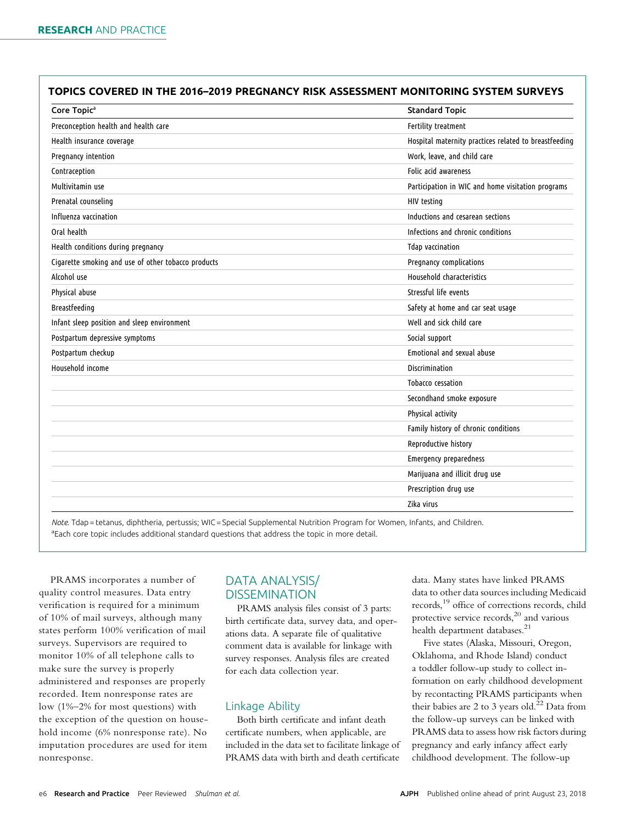# TOPICS COVERED IN THE 2016–2019 PREGNANCY RISK ASSESSMENT MONITORING SYSTEM SURVEYS

| Core Topic <sup>a</sup>                             | <b>Standard Topic</b>                                 |
|-----------------------------------------------------|-------------------------------------------------------|
| Preconception health and health care                | Fertility treatment                                   |
| Health insurance coverage                           | Hospital maternity practices related to breastfeeding |
| Pregnancy intention                                 | Work, leave, and child care                           |
| Contraception                                       | Folic acid awareness                                  |
| Multivitamin use                                    | Participation in WIC and home visitation programs     |
| Prenatal counseling                                 | HIV testing                                           |
| Influenza vaccination                               | Inductions and cesarean sections                      |
| Oral health                                         | Infections and chronic conditions                     |
| Health conditions during pregnancy                  | <b>Tdap vaccination</b>                               |
| Cigarette smoking and use of other tobacco products | Pregnancy complications                               |
| Alcohol use                                         | Household characteristics                             |
| Physical abuse                                      | Stressful life events                                 |
| Breastfeeding                                       | Safety at home and car seat usage                     |
| Infant sleep position and sleep environment         | Well and sick child care                              |
| Postpartum depressive symptoms                      | Social support                                        |
| Postpartum checkup                                  | Emotional and sexual abuse                            |
| Household income                                    | Discrimination                                        |
|                                                     | Tobacco cessation                                     |
|                                                     | Secondhand smoke exposure                             |
|                                                     | Physical activity                                     |
|                                                     | Family history of chronic conditions                  |
|                                                     | Reproductive history                                  |
|                                                     | Emergency preparedness                                |
|                                                     | Marijuana and illicit drug use                        |
|                                                     | Prescription drug use                                 |
|                                                     | Zika virus                                            |
| $1 + 1 + 1$                                         | $1 - 2 + 1 + 1 = 1$<br>$\sim$                         |

Note. Tdap <sup>=</sup> tetanus, diphtheria, pertussis; WIC <sup>=</sup> Special Supplemental Nutrition Program for Women, Infants, and Children. <sup>a</sup>Each core topic includes additional standard questions that address the topic in more detail.

PRAMS incorporates a number of quality control measures. Data entry verification is required for a minimum of 10% of mail surveys, although many states perform 100% verification of mail surveys. Supervisors are required to monitor 10% of all telephone calls to make sure the survey is properly administered and responses are properly recorded. Item nonresponse rates are low (1%–2% for most questions) with the exception of the question on household income (6% nonresponse rate). No imputation procedures are used for item nonresponse.

# DATA ANALYSIS/ **DISSEMINATION**

PRAMS analysis files consist of 3 parts: birth certificate data, survey data, and operations data. A separate file of qualitative comment data is available for linkage with survey responses. Analysis files are created for each data collection year.

## Linkage Ability

Both birth certificate and infant death certificate numbers, when applicable, are included in the data set to facilitate linkage of PRAMS data with birth and death certificate

data. Many states have linked PRAMS data to other data sources including Medicaid records,<sup>19</sup> office of corrections records, child protective service records, $20$  and various health department databases.<sup>21</sup>

Five states (Alaska, Missouri, Oregon, Oklahoma, and Rhode Island) conduct a toddler follow-up study to collect information on early childhood development by recontacting PRAMS participants when their babies are 2 to 3 years old.<sup>22</sup> Data from the follow-up surveys can be linked with PRAMS data to assess how risk factors during pregnancy and early infancy affect early childhood development. The follow-up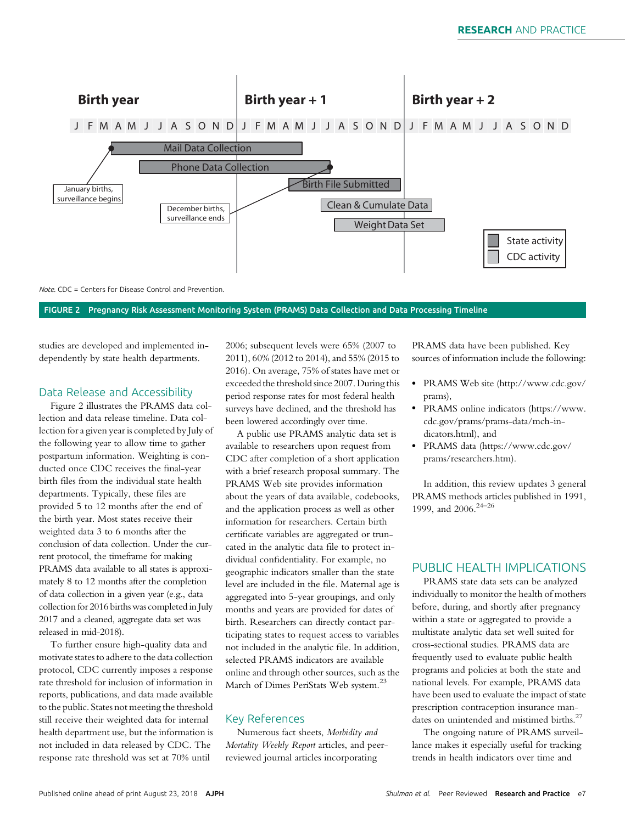

Note. CDC <sup>=</sup> Centers for Disease Control and Prevention.

— FIGURE 2 Pregnancy Risk Assessment Monitoring System (PRAMS) Data Collection and Data Processing Timeline

studies are developed and implemented independently by state health departments.

#### Data Release and Accessibility

Figure 2 illustrates the PRAMS data collection and data release timeline. Data collection fora given year is completed by July of the following year to allow time to gather postpartum information. Weighting is conducted once CDC receives the final-year birth files from the individual state health departments. Typically, these files are provided 5 to 12 months after the end of the birth year. Most states receive their weighted data 3 to 6 months after the conclusion of data collection. Under the current protocol, the timeframe for making PRAMS data available to all states is approximately 8 to 12 months after the completion of data collection in a given year (e.g., data collection for 2016 births was completed in July 2017 and a cleaned, aggregate data set was released in mid-2018).

To further ensure high-quality data and motivate states to adhere to the data collection protocol, CDC currently imposes a response rate threshold for inclusion of information in reports, publications, and data made available to the public. States not meeting the threshold still receive their weighted data for internal health department use, but the information is not included in data released by CDC. The response rate threshold was set at 70% until

2006; subsequent levels were 65% (2007 to 2011), 60% (2012 to 2014),and 55% (2015 to 2016). On average, 75% of states have met or exceeded the threshold since 2007. During this period response rates for most federal health surveys have declined, and the threshold has been lowered accordingly over time.

A public use PRAMS analytic data set is available to researchers upon request from CDC after completion of a short application with a brief research proposal summary. The PRAMS Web site provides information about the years of data available, codebooks, and the application process as well as other information for researchers. Certain birth certificate variables are aggregated or truncated in the analytic data file to protect individual confidentiality. For example, no geographic indicators smaller than the state level are included in the file. Maternal age is aggregated into 5-year groupings, and only months and years are provided for dates of birth. Researchers can directly contact participating states to request access to variables not included in the analytic file. In addition, selected PRAMS indicators are available online and through other sources, such as the March of Dimes PeriStats Web system.<sup>23</sup>

# Key References

Numerous fact sheets, Morbidity and Mortality Weekly Report articles, and peerreviewed journal articles incorporating

PRAMS data have been published. Key sources of information include the following:

- PRAMS Web site ([http://www.cdc.gov/](http://www.cdc.gov/prams) [prams](http://www.cdc.gov/prams)),
- PRAMS online indicators ([https://www.](https://www.cdc.gov/prams/prams-data/mch-indicators.html) [cdc.gov/prams/prams-data/mch-in](https://www.cdc.gov/prams/prams-data/mch-indicators.html)[dicators.html\)](https://www.cdc.gov/prams/prams-data/mch-indicators.html), and
- $\bullet$ PRAMS data [\(https://www.cdc.gov/](https://www.cdc.gov/prams/researchers.htm) [prams/researchers.htm\)](https://www.cdc.gov/prams/researchers.htm).

In addition, this review updates 3 general PRAMS methods articles published in 1991, 1999, and 2006.<sup>24-26</sup>

# PUBLIC HEALTH IMPLICATIONS

PRAMS state data sets can be analyzed individually to monitor the health of mothers before, during, and shortly after pregnancy within a state or aggregated to provide a multistate analytic data set well suited for cross-sectional studies. PRAMS data are frequently used to evaluate public health programs and policies at both the state and national levels. For example, PRAMS data have been used to evaluate the impact of state prescription contraception insurance mandates on unintended and mistimed births.<sup>27</sup>

The ongoing nature of PRAMS surveillance makes it especially useful for tracking trends in health indicators over time and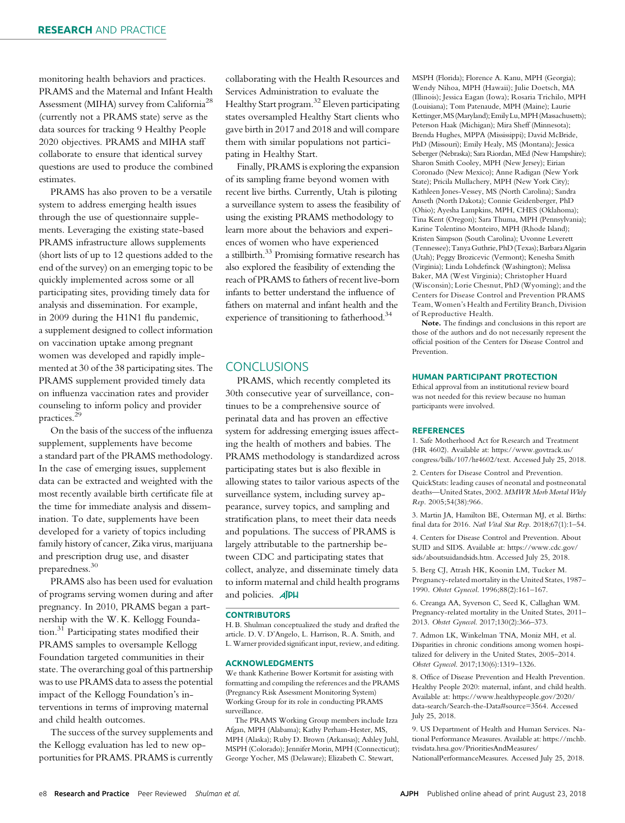monitoring health behaviors and practices. PRAMS and the Maternal and Infant Health Assessment (MIHA) survey from California<sup>28</sup> (currently not a PRAMS state) serve as the data sources for tracking 9 Healthy People 2020 objectives. PRAMS and MIHA staff collaborate to ensure that identical survey questions are used to produce the combined estimates.

PRAMS has also proven to be a versatile system to address emerging health issues through the use of questionnaire supplements. Leveraging the existing state-based PRAMS infrastructure allows supplements (short lists of up to 12 questions added to the end of the survey) on an emerging topic to be quickly implemented across some or all participating sites, providing timely data for analysis and dissemination. For example, in 2009 during the H1N1 flu pandemic, a supplement designed to collect information on vaccination uptake among pregnant women was developed and rapidly implemented at 30 of the 38 participating sites. The PRAMS supplement provided timely data on influenza vaccination rates and provider counseling to inform policy and provider practices.<sup>2</sup>

On the basis of the success of the influenza supplement, supplements have become a standard part of the PRAMS methodology. In the case of emerging issues, supplement data can be extracted and weighted with the most recently available birth certificate file at the time for immediate analysis and dissemination. To date, supplements have been developed for a variety of topics including family history of cancer, Zika virus, marijuana and prescription drug use, and disaster preparedness.<sup>30</sup>

PRAMS also has been used for evaluation of programs serving women during and after pregnancy. In 2010, PRAMS began a partnership with the W.K. Kellogg Foundation.<sup>31</sup> Participating states modified their PRAMS samples to oversample Kellogg Foundation targeted communities in their state. The overarching goal of this partnership was to use PRAMS data to assess the potential impact of the Kellogg Foundation's interventions in terms of improving maternal and child health outcomes.

The success of the survey supplements and the Kellogg evaluation has led to new opportunities for PRAMS. PRAMS is currently collaborating with the Health Resources and Services Administration to evaluate the Healthy Start program.<sup>32</sup> Eleven participating states oversampled Healthy Start clients who gave birth in 2017 and 2018 and will compare them with similar populations not participating in Healthy Start.

Finally, PRAMS is exploring the expansion of its sampling frame beyond women with recent live births. Currently, Utah is piloting a surveillance system to assess the feasibility of using the existing PRAMS methodology to learn more about the behaviors and experiences of women who have experienced a stillbirth.<sup>33</sup> Promising formative research has also explored the feasibility of extending the reach of PRAMS to fathers of recent live-born infants to better understand the influence of fathers on maternal and infant health and the experience of transitioning to fatherhood.<sup>34</sup>

# **CONCLUSIONS**

PRAMS, which recently completed its 30th consecutive year of surveillance, continues to be a comprehensive source of perinatal data and has proven an effective system for addressing emerging issues affecting the health of mothers and babies. The PRAMS methodology is standardized across participating states but is also flexible in allowing states to tailor various aspects of the surveillance system, including survey appearance, survey topics, and sampling and stratification plans, to meet their data needs and populations. The success of PRAMS is largely attributable to the partnership between CDC and participating states that collect, analyze, and disseminate timely data to inform maternal and child health programs and policies. **AJPH** 

#### **CONTRIBUTORS**

H. B. Shulman conceptualized the study and drafted the article. D.V. D'Angelo, L. Harrison, R.A. Smith, and L. Warner provided significant input, review, and editing.

#### ACKNOWLEDGMENTS

We thank Katherine Bower Kortsmit for assisting with formatting and compiling the references and the PRAMS (Pregnancy Risk Assessment Monitoring System) Working Group for its role in conducting PRAMS surveillance.

The PRAMS Working Group members include Izza Afgan, MPH (Alabama); Kathy Perham-Hester, MS, MPH (Alaska); Ruby D. Brown (Arkansas); Ashley Juhl, MSPH (Colorado); Jennifer Morin, MPH (Connecticut); George Yocher, MS (Delaware); Elizabeth C. Stewart,

MSPH (Florida); Florence A. Kanu, MPH (Georgia); Wendy Nihoa, MPH (Hawaii); Julie Doetsch, MA (Illinois); Jessica Eagan (Iowa); Rosaria Trichilo, MPH (Louisiana); Tom Patenaude, MPH (Maine); Laurie Kettinger,MS(Maryland);EmilyLu,MPH(Massachusetts); Peterson Haak (Michigan); Mira Sheff (Minnesota); Brenda Hughes, MPPA (Mississippi); David McBride, PhD (Missouri); Emily Healy, MS (Montana); Jessica Seberger (Nebraska); Sara Riordan, MEd (New Hampshire); Sharon Smith Cooley, MPH (New Jersey); Eirian Coronado (New Mexico); Anne Radigan (New York State); Pricila Mullachery, MPH (New York City); Kathleen Jones-Vessey, MS (North Carolina); Sandra Anseth (North Dakota); Connie Geidenberger, PhD (Ohio); Ayesha Lampkins, MPH, CHES (Oklahoma); Tina Kent (Oregon); Sara Thuma, MPH (Pennsylvania); Karine Tolentino Monteiro, MPH (Rhode Island); Kristen Simpson (South Carolina); Uvonne Leverett (Tennessee);TanyaGuthrie,PhD(Texas);BarbaraAlgarin (Utah); Peggy Brozicevic (Vermont); Kenesha Smith (Virginia); Linda Lohdefinck (Washington); Melissa Baker, MA (West Virginia); Christopher Huard (Wisconsin); Lorie Chesnut, PhD (Wyoming);and the Centers for Disease Control and Prevention PRAMS Team,Women's Health and Fertility Branch, Division of Reproductive Health.

Note. The findings and conclusions in this report are those of the authors and do not necessarily represent the official position of the Centers for Disease Control and Prevention.

#### HUMAN PARTICIPANT PROTECTION

Ethical approval from an institutional review board was not needed for this review because no human participants were involved.

#### **REFERENCES**

1. Safe Motherhood Act for Research and Treatment (HR 4602). Available at: [https://www.govtrack.us/](https://www.govtrack.us/congress/bills/107/hr4602/text) [congress/bills/107/hr4602/text.](https://www.govtrack.us/congress/bills/107/hr4602/text) Accessed July 25, 2018.

2. Centers for Disease Control and Prevention. QuickStats: leading causes of neonatal and postneonatal deaths—United States, 2002. MMWR Morb Mortal Wkly Rep. 2005;54(38):966.

3. Martin JA, Hamilton BE, Osterman MJ, et al. Births: final data for 2016. Natl Vital Stat Rep. 2018;67(1):1–54.

4. Centers for Disease Control and Prevention. About SUID and SIDS. Available at: [https://www.cdc.gov/](https://www.cdc.gov/sids/aboutsuidandsids.htm) [sids/aboutsuidandsids.htm.](https://www.cdc.gov/sids/aboutsuidandsids.htm) Accessed July 25, 2018.

5. Berg CJ, Atrash HK, Koonin LM, Tucker M. Pregnancy-related mortality in the United States, 1987– 1990. Obstet Gynecol. 1996;88(2):161–167.

6. Creanga AA, Syverson C, Seed K, Callaghan WM. Pregnancy-related mortality in the United States, 2011– 2013. Obstet Gynecol. 2017;130(2):366–373.

7. Admon LK, Winkelman TNA, Moniz MH, et al. Disparities in chronic conditions among women hospitalized for delivery in the United States, 2005–2014. Obstet Gynecol. 2017;130(6):1319–1326.

8. Office of Disease Prevention and Health Prevention. Healthy People 2020: maternal, infant, and child health. Available at: [https://www.healthypeople.gov/2020/](https://www.healthypeople.gov/2020/data-search/Search-the-Data#source=3564) [data-search/Search-the-Data#source=3564](https://www.healthypeople.gov/2020/data-search/Search-the-Data#source=3564). Accessed July 25, 2018.

9. US Department of Health and Human Services. National Performance Measures. Available at: [https://mchb.](https://mchb.tvisdata.hrsa.gov/PrioritiesAndMeasures/NationalPerformanceMeasures) [tvisdata.hrsa.gov/PrioritiesAndMeasures/](https://mchb.tvisdata.hrsa.gov/PrioritiesAndMeasures/NationalPerformanceMeasures) [NationalPerformanceMeasures.](https://mchb.tvisdata.hrsa.gov/PrioritiesAndMeasures/NationalPerformanceMeasures) Accessed July 25, 2018.